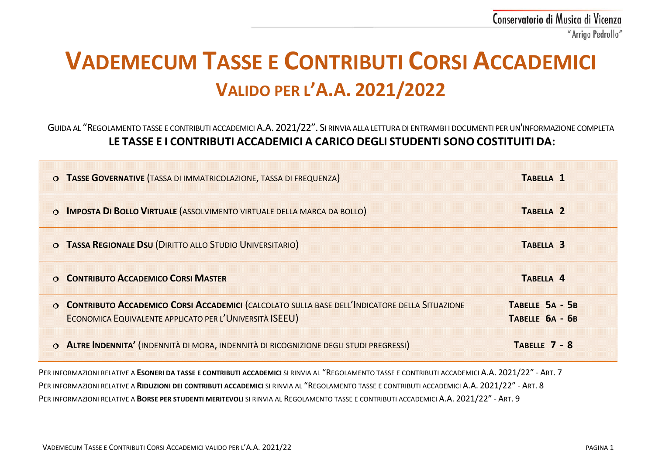# **VADEMECUM TASSE E CONTRIBUTI CORSI ACCADEMICI VALIDO PER L'A.A. 2021/2022**

GUIDA AL "REGOLAMENTO TASSE E CONTRIBUTI ACCADEMICI A.A. 2021/22". SI RINVIA ALLA LETTURA DI ENTRAMBI I DOCUMENTI PER UN'INFORMAZIONE COMPLETA **LE TASSE E I CONTRIBUTI ACCADEMICI A CARICO DEGLI STUDENTI SONO COSTITUITI DA:**

| O TASSE GOVERNATIVE (TASSA DI IMMATRICOLAZIONE, TASSA DI FREQUENZA)                                                                                        | TABELLA <sub>1</sub>               |
|------------------------------------------------------------------------------------------------------------------------------------------------------------|------------------------------------|
| O <b>IMPOSTA DI BOLLO VIRTUALE</b> (ASSOLVIMENTO VIRTUALE DELLA MARCA DA BOLLO)                                                                            | TABELLA <sub>2</sub>               |
| O TASSA REGIONALE DSU (DIRITTO ALLO STUDIO UNIVERSITARIO)                                                                                                  | TABELLA <sub>3</sub>               |
| O CONTRIBUTO ACCADEMICO CORSI MASTER                                                                                                                       | TABELLA 4                          |
| O CONTRIBUTO ACCADEMICO CORSI ACCADEMICI (CALCOLATO SULLA BASE DELL'INDICATORE DELLA SITUAZIONE<br>ECONOMICA EQUIVALENTE APPLICATO PER L'UNIVERSITÀ ISEEU) | TABELLE 5A - 5B<br>TABELLE 6A - 6B |
|                                                                                                                                                            |                                    |

PER INFORMAZIONI RELATIVE A **ESONERI DA TASSE E CONTRIBUTI ACCADEMICI** SI RINVIA AL "REGOLAMENTO TASSE E CONTRIBUTI ACCADEMICI A.A. 2021/22" - ART. 7 PER INFORMAZIONI RELATIVE A **RIDUZIONI DEI CONTRIBUTI ACCADEMICI** SI RINVIA AL "REGOLAMENTO TASSE E CONTRIBUTI ACCADEMICI A.A. 2021/22" - ART. 8 PER INFORMAZIONI RELATIVE A **BORSE PER STUDENTI MERITEVOLI** SI RINVIA AL REGOLAMENTO TASSE E CONTRIBUTI ACCADEMICI A.A. 2021/22" - ART. 9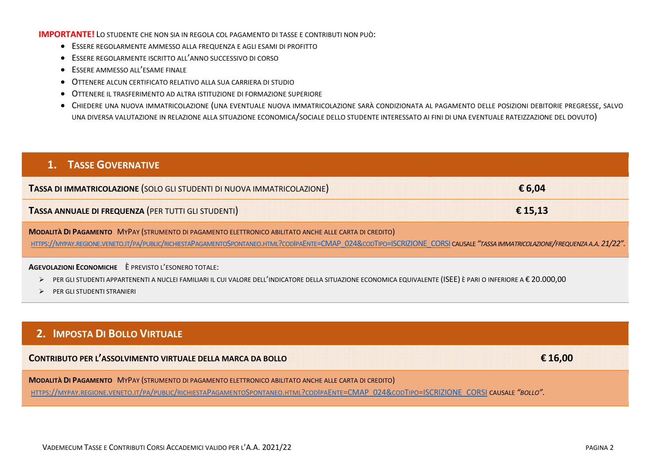#### **IMPORTANTE!** LO STUDENTE CHE NON SIA IN REGOLA COL PAGAMENTO DI TASSE E CONTRIBUTI NON PUÒ:

- ESSERE REGOLARMENTE AMMESSO ALLA FREQUENZA E AGLI ESAMI DI PROFITTO
- ESSERE REGOLARMENTE ISCRITTO ALL'ANNO SUCCESSIVO DI CORSO
- ESSERE AMMESSO ALL'ESAME FINALE
- OTTENERE ALCUN CERTIFICATO RELATIVO ALLA SUA CARRIERA DI STUDIO
- OTTENERE IL TRASFERIMENTO AD ALTRA ISTITUZIONE DI FORMAZIONE SUPERIORE
- CHIEDERE UNA NUOVA IMMATRICOLAZIONE (UNA EVENTUALE NUOVA IMMATRICOLAZIONE SARÀ CONDIZIONATA AL PAGAMENTO DELLE POSIZIONI DEBITORIE PREGRESSE, SALVO UNA DIVERSA VALUTAZIONE IN RELAZIONE ALLA SITUAZIONE ECONOMICA/SOCIALE DELLO STUDENTE INTERESSATO AI FINI DI UNA EVENTUALE RATEIZZAZIONE DEL DOVUTO)

## **1. TASSE GOVERNATIVE TASSA DI IMMATRICOLAZIONE** (SOLO GLI STUDENTI DI NUOVA IMMATRICOLAZIONE) **€ 6,04 TASSA ANNUALE DI FREQUENZA** (PER TUTTI GLI STUDENTI) **€ 15,13 MODALITÀ DI PAGAMENTO** MYPAY (STRUMENTO DI PAGAMENTO ELETTRONICO ABILITATO ANCHE ALLE CARTA DI CREDITO) [HTTPS://MYPAY.REGIONE.VENETO.IT/PA/PUBLIC/RICHIESTAPAGAMENTOSPONTANEO.HTML?CODIPAENTE=CMAP\\_024&CODTIPO=ISCRIZIONE\\_CORSI](https://mypay.regione.veneto.it/pa/public/richiestaPagamentoSpontaneo.html?codIpaEnte=CMAP_024&codTipo=ISCRIZIONE_CORSI) CAUSALE *"TASSA IMMATRICOLAZIONE/FREQUENZA A.A.21/22".* **AGEVOLAZIONI ECONOMICHE** È PREVISTO L'ESONERO TOTALE: > PER GLI STUDENTI APPARTENENTI A NUCLEI FAMILIARI IL CUI VALORE DELL'INDICATORE DELLA SITUAZIONE ECONOMICA EQUIVALENTE (ISEE) È PARI O INFERIORE A € 20.000,00

PER GLI STUDENTI STRANIERI

## **2. IMPOSTA DI BOLLO VIRTUALE**

| CONTRIBUTO PER L'ASSOLVIMENTO VIRTUALE DELLA MARCA DA BOLLO<br>,我们也不会有什么?""我们的人,我们也不会有什么?""我们的人,我们也不会有什么?""我们的人,我们也不会有什么?""我们的人,我们也不会有什么?""我们的人 |  |
|-------------------------------------------------------------------------------------------------------------------------------------------------|--|
| MYPAY (STRUMENTO DI PAGAMENTO ELETTRONICO ABILITATO ANCHE ALLE CARTA DI CREDITO)                                                                |  |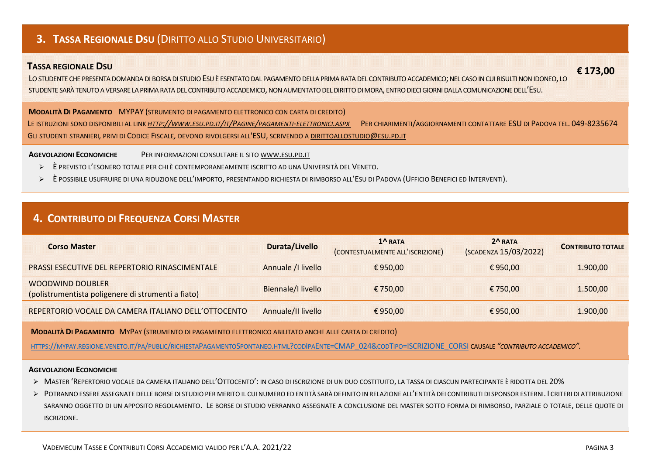## **3. TASSA REGIONALE DSU** (DIRITTO ALLO STUDIO UNIVERSITARIO)

#### **TASSA REGIONALE DSU**

LO STUDENTE CHE PRESENTA DOMANDA DI BORSA DI STUDIO ESU È ESENTATO DAL PAGAMENTO DELLA PRIMA RATA DEL CONTRIBUTO ACCADEMICO; NEL CASO IN CUI RISULTI NON IDONEO, LO STUDENTE SARÀ TENUTO A VERSARE LA PRIMA RATA DEL CONTRIBUTO ACCADEMICO, NON AUMENTATO DEL DIRITTO DI MORA, ENTRO DIECI GIORNI DALLA COMUNICAZIONE DELL'ESU.

**MODALITÀ DI PAGAMENTO** MYPAY (STRUMENTO DI PAGAMENTO ELETTRONICO CON CARTA DI CREDITO)

LE ISTRUZIONI SONO DISPONIBILI AL LINK *[HTTP://WWW.ESU.PD.IT/IT/PAGINE/PAGAMENTI-ELETTRONICI.ASPX](http://www.esu.pd.it/it/Pagine/pagamenti-elettronici.aspx)* PER CHIARIMENTI/AGGIORNAMENTI CONTATTARE ESU DI PADOVA TEL. 049-8235674 GLI STUDENTI STRANIERI*,* PRIVI DI CODICE FISCALE*,* DEVONO RIVOLGERSI ALL'ESU, SCRIVENDO A [DIRITTOALLOSTUDIO@ESU.PD.IT](mailto:dirittoallostudio@esu.pd.it) 

**AGEVOLAZIONI ECONOMICHE** PER INFORMAZIONI CONSULTARE IL SITO [WWW.ESU.PD.IT](http://www.esu.pd.it/)

- È PREVISTO L'ESONERO TOTALE PER CHI È CONTEMPORANEAMENTE ISCRITTO AD UNA UNIVERSITÀ DEL VENETO.
- È POSSIBILE USUFRUIRE DI UNA RIDUZIONE DELL'IMPORTO, PRESENTANDO RICHIESTA DI RIMBORSO ALL'ESU DI PADOVA (UFFICIO BENEFICI ED INTERVENTI).

### **4. CONTRIBUTO DI FREQUENZA CORSI MASTER**

| <b>Corso Master</b>                                                    | Durata/Livello     | $1^{\prime}$ RATA<br>(CONTESTUALMENTE ALL'ISCRIZIONE) | $2^A$ RATA<br>(SCADENZA 15/03/2022) | <b>CONTRIBUTO TOTALE</b> |
|------------------------------------------------------------------------|--------------------|-------------------------------------------------------|-------------------------------------|--------------------------|
| <b>PRASSI ESECUTIVE DEL REPERTORIO RINASCIMENTALE</b>                  | Annuale / Ilivello | €950.00                                               | €950.00                             | 1.900.00                 |
| WOODWIND DOUBLER<br>(polistrumentista poligenere di strumenti a fiato) | Biennale/I livello | € 750.00                                              | €750.00                             | 1.500.00                 |
| REPERTORIO VOCALE DA CAMERA ITALIANO DELL'OTTOCENTO                    | Annuale/II livello | €950.00                                               | €950.00                             | 1.900.00                 |

**MODALITÀ DI PAGAMENTO** MYPAY (STRUMENTO DI PAGAMENTO ELETTRONICO ABILITATO ANCHE ALLE CARTA DI CREDITO)

[HTTPS://MYPAY.REGIONE.VENETO.IT/PA/PUBLIC/RICHIESTAPAGAMENTOSPONTANEO.HTML?CODIPAENTE=CMAP\\_024&CODTIPO=ISCRIZIONE\\_CORSI](https://mypay.regione.veneto.it/pa/public/richiestaPagamentoSpontaneo.html?codIpaEnte=CMAP_024&codTipo=ISCRIZIONE_CORSI) CAUSALE *"CONTRIBUTO ACCADEMICO".*

#### **AGEVOLAZIONI ECONOMICHE**

- MASTER 'REPERTORIO VOCALE DA CAMERA ITALIANO DELL'OTTOCENTO': IN CASO DI ISCRIZIONE DI UN DUO COSTITUITO, LA TASSA DI CIASCUN PARTECIPANTE È RIDOTTA DEL 20%
- POTRANNO ESSERE ASSEGNATE DELLE BORSE DI STUDIO PER MERITO IL CUI NUMERO ED ENTITÀ SARÀ DEFINITO IN RELAZIONE ALL'ENTITÀ DEI CONTRIBUTI DI SPONSOR ESTERNI. I CRITERI DI ATTRIBUZIONE SARANNO OGGETTO DI UN APPOSITO REGOLAMENTO. LE BORSE DI STUDIO VERRANNO ASSEGNATE A CONCLUSIONE DEL MASTER SOTTO FORMA DI RIMBORSO, PARZIALE O TOTALE, DELLE QUOTE DI ISCRIZIONE.

 **€ 173,00**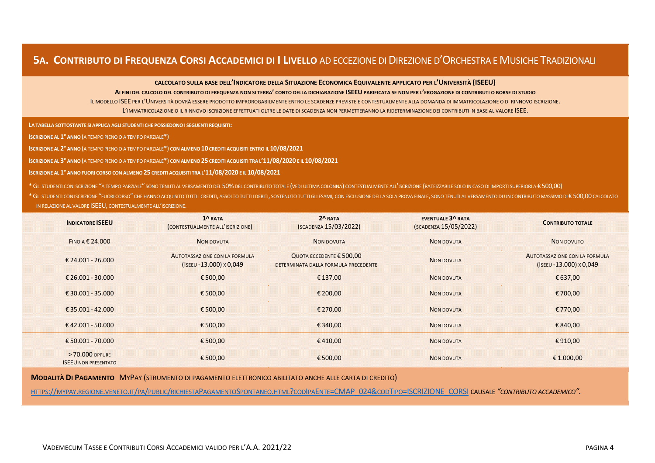## **5A. CONTRIBUTO DI FREQUENZA CORSI ACCADEMICI DI I LIVELLO** AD ECCEZIONE DI DIREZIONE D'ORCHESTRA E MUSICHE TRADIZIONALI

**CALCOLATO SULLA BASE DELL'INDICATORE DELLA SITUAZIONE ECONOMICA EQUIVALENTE APPLICATO PER L'UNIVERSITÀ (ISEEU)**

**AI FINI DEL CALCOLO DEL CONTRIBUTO DI FREQUENZA NON SI TERRA' CONTO DELLA DICHIARAZIONE ISEEU PARIFICATA SE NON PER L'EROGAZIONE DI CONTRIBUTI O BORSE DI STUDIO**

IL MODELLO ISEE PER L'UNIVERSITÀ DOVRÀ ESSERE PRODOTTO IMPROROGABILMENTE ENTRO LE SCADENZE PREVISTE E CONTESTUALMENTE ALLA DOMANDA DI IMMATRICOLAZIONE O DI RINNOVO ISCRIZIONE. L'IMMATRICOLAZIONE O IL RINNOVO ISCRIZIONE EFFETTUATI OLTRE LE DATE DI SCADENZA NON PERMETTERANNO LA RIDETERMINAZIONE DEI CONTRIBUTI IN BASE AL VALORE ISEE.

**LA TABELLA SOTTOSTANTE SI APPLICA AGLI STUDENTI CHE POSSIEDONO I SEGUENTI REQUISITI:**

) **ISCRIZIONE AL 1° ANNO**(A TEMPO PIENO O A TEMPO PARZIALE\*)

**ISCRIZIONE AL 2° ANNO**(A TEMPO PIENO O A TEMPO PARZIALE\*) **CON ALMENO 10 CREDITI ACQUISITI ENTRO IL 10/08/2021**

) **ISCRIZIONE AL 3° ANNO**(A TEMPO PIENO O A TEMPO PARZIALE\*) **CON ALMENO 25 CREDITI ACQUISITI TRA L'11/08/2020 E IL 10/08/2021**

**ISCRIZIONE AL 1° ANNO FUORI CORSO CON ALMENO 25 CREDITI ACQUISITI TRA L'11/08/2020 E IL 10/08/2021**

\*GLI STUDENTI CON ISCRIZIONE "A TEMPO PARZIALE" SONO TENUTI AL VERSAMENTO DEL 50%DEL CONTRIBUTO TOTALE (VEDI ULTIMA COLONNA) CONTESTUALMENTE ALL'ISCRIZIONE (RATEIZZABILE SOLO IN CASO DI IMPORTI SUPERIORI A € 500,00)

\* GLI STUDENTI CON ISCRIZIONE "FUORI CORSO" CHE HANNO ACQUISITO TUTTI I CREDITI, ASSOLTO TUTTI I DEBITI, SOSTENUTO TUTTI I DEBITI, SOSTENUTO TUTTI I DEBITI, SOSTENUTO TUTTI I GLI ESAMI, CON ESCLUSIONE DELLA SOLA PROVA FIN IN RELAZIONE AL VALORE ISEEU, CONTESTUALMENTE ALL'ISCRIZIONE.

| <b>INDICATORE ISEEU</b>                        | $1^{\Lambda}$ RATA<br>(CONTESTUALMENTE ALL'ISCRIZIONE)   | $2^R$ RATA<br>(SCADENZA 15/03/2022)                                       | <b>EVENTUALE 3^ RATA</b><br>(SCADENZA 15/05/2022) | <b>CONTRIBUTO TOTALE</b>                                 |
|------------------------------------------------|----------------------------------------------------------|---------------------------------------------------------------------------|---------------------------------------------------|----------------------------------------------------------|
| FINO A $$24.000$                               | <b>NON DOVUTA</b>                                        | NON DOVUTA                                                                | NON DOVUTA                                        | NON DOVUTO                                               |
| € 24.001 - 26.000                              | AUTOTASSAZIONE CON LA FORMULA<br>(ISEEU -13.000) x 0,049 | QUOTA ECCEDENTE $\epsilon$ 500,00<br>DETERMINATA DALLA FORMULA PRECEDENTE | NON DOVUTA                                        | AUTOTASSAZIONE CON LA FORMULA<br>(ISEEU -13.000) x 0,049 |
| € 26.001 - 30.000                              | €500,00                                                  | €137,00                                                                   | <b>NON DOVUTA</b>                                 | € 637,00                                                 |
| € 30.001 - 35.000                              | €500,00                                                  | € 200,00                                                                  | <b>NON DOVUTA</b>                                 | €700,00                                                  |
| € 35.001 - 42.000                              | €500,00                                                  | € 270,00                                                                  | NON DOVUTA                                        | €770,00                                                  |
| €42.001 - 50.000                               | €500,00                                                  | €340,00                                                                   | NON DOVUTA                                        | €840,00                                                  |
| € 50.001 - 70.000                              | €500,00                                                  | €410,00                                                                   | <b>NON DOVUTA</b>                                 | €910,00                                                  |
| > 70.000 OPPURE<br><b>ISEEU NON PRESENTATO</b> | €500,00                                                  | €500,00                                                                   | <b>NON DOVUTA</b>                                 | € 1.000,00                                               |

**MODALITÀ DI PAGAMENTO** MYPAY (STRUMENTO DI PAGAMENTO ELETTRONICO ABILITATO ANCHE ALLE CARTA DI CREDITO)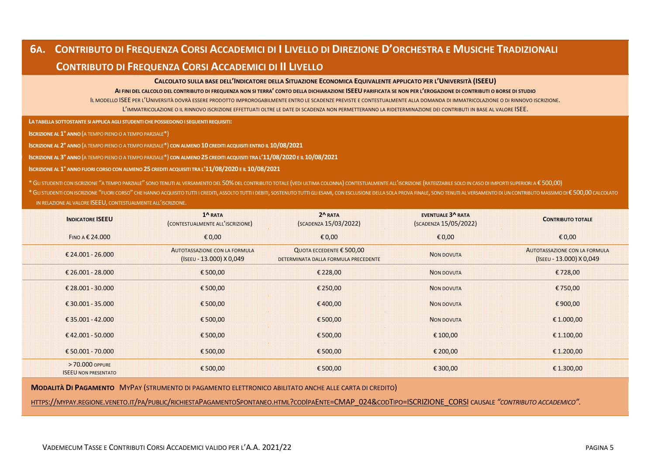## **6A. CONTRIBUTO DI FREQUENZA CORSI ACCADEMICI DI I LIVELLO DI DIREZIONE D'ORCHESTRA E MUSICHE TRADIZIONALI CONTRIBUTO DI FREQUENZA CORSI ACCADEMICI DI II LIVELLO**

#### **CALCOLATO SULLA BASE DELL'INDICATORE DELLA SITUAZIONE ECONOMICA EQUIVALENTE APPLICATO PER L'UNIVERSITÀ (ISEEU)**

#### **AI FINI DEL CALCOLO DEL CONTRIBUTO DI FREQUENZA NON SI TERRA' CONTO DELLA DICHIARAZIONE ISEEU PARIFICATA SE NON PER L'EROGAZIONE DI CONTRIBUTI O BORSE DI STUDIO**

IL MODELLO ISEE PER L'UNIVERSITÀ DOVRÀ ESSERE PRODOTTO IMPROROGABILMENTE ENTRO LE SCADENZE PREVISTE E CONTESTUALMENTE ALLA DOMANDA DI IMMATRICOLAZIONE O DI RINNOVO ISCRIZIONE. L'IMMATRICOLAZIONE O IL RINNOVO ISCRIZIONE EFFETTUATI OLTRE LE DATE DI SCADENZA NON PERMETTERANNO LA RIDETERMINAZIONE DEI CONTRIBUTI IN BASE AL VALORE ISEE.

**LA TABELLA SOTTOSTANTE SI APPLICA AGLI STUDENTI CHE POSSIEDONO I SEGUENTI REQUISITI:**

**ISCRIZIONE AL 1° ANNO**(A TEMPO PIENO O A TEMPO PARZIALE\*)

**ISCRIZIONE AL 2° ANNO**(A TEMPO PIENO O A TEMPO PARZIALE\*) **CON ALMENO 10 CREDITI ACQUISITI ENTRO IL 10/08/2021**

) **ISCRIZIONE AL 3° ANNO**(A TEMPO PIENO O A TEMPO PARZIALE\*) **CON ALMENO 25 CREDITI ACQUISITI TRA L'11/08/2020 E IL 10/08/2021**

**ISCRIZIONE AL 1° ANNO FUORI CORSO CON ALMENO 25 CREDITI ACQUISITI TRA L'11/08/2020 E IL 10/08/2021**

\*GLI STUDENTI CON ISCRIZIONE "A TEMPO PARZIALE" SONO TENUTI AL VERSAMENTO DEL 50%DEL CONTRIBUTO TOTALE (VEDI ULTIMA COLONNA) CONTESTUALMENTE ALL'ISCRIZIONE (RATEIZZABILE SOLO IN CASO DI IMPORTI SUPERIORI A € 500,00) \* GU STUDENTI CON ISCRIZIONE "FUORI CORSO" CHE HANNO ACQUISITO TUTTI I CREDITI. ASSOLTO TUTTI I DEBITI. SOSTENUTO TUTTI I DEBITI. SOSTENUTO TUTTI I DEBITI. SOSTENUTO TUTTI GU ESAMI. CON ESCLUSIONE DELLA SOLA PROVA FINALE.

IN RELAZIONE AL VALORE ISEEU, CONTESTUALMENTE ALL'ISCRIZIONE.

| <b>INDICATORE ISEEU</b>                        | $1^{\Lambda}$ RATA<br>(CONTESTUALMENTE ALL'ISCRIZIONE)    | $2^R$ RATA<br>(SCADENZA 15/03/2022)                                       | <b>EVENTUALE 3^ RATA</b><br>(SCADENZA 15/05/2022) | <b>CONTRIBUTO TOTALE</b>                                  |
|------------------------------------------------|-----------------------------------------------------------|---------------------------------------------------------------------------|---------------------------------------------------|-----------------------------------------------------------|
| FINO A € 24,000                                | €0,00                                                     | € 0,00                                                                    | £0,00                                             | € 0,00                                                    |
| $£24.001 - 26.000$                             | AUTOTASSAZIONE CON LA FORMULA<br>(ISEEU - 13.000) X 0,049 | QUOTA ECCEDENTE $\epsilon$ 500,00<br>DETERMINATA DALLA FORMULA PRECEDENTE | <b>NON DOVUTA</b>                                 | AUTOTASSAZIONE CON LA FORMULA<br>(ISEEU - 13.000) X 0,049 |
| $£26.001 - 28.000$                             | €500,00                                                   | € 228,00                                                                  | NON DOVUTA                                        | €728,00                                                   |
| € 28.001 - 30.000                              | € 500,00                                                  | € 250,00                                                                  | <b>NON DOVUTA</b>                                 | €750,00                                                   |
| € 30.001 - 35.000                              | €500,00                                                   | €400,00                                                                   | <b>NON DOVUTA</b>                                 | €900,00                                                   |
| € 35.001 - 42.000                              | €500,00                                                   | €500,00                                                                   | <b>NON DOVUTA</b>                                 | € 1.000,00                                                |
| €42.001 - 50.000                               | €500,00                                                   | €500,00                                                                   | € 100,00                                          | € 1.100,00                                                |
| € 50.001 - 70.000                              | €500,00                                                   | €500,00                                                                   | € 200,00                                          | € 1.200,00                                                |
| > 70.000 OPPURE<br><b>ISEEU NON PRESENTATO</b> | €500,00                                                   | €500,00                                                                   | € 300,00                                          | € 1.300,00                                                |

**MODALITÀ DI PAGAMENTO** MYPAY (STRUMENTO DI PAGAMENTO ELETTRONICO ABILITATO ANCHE ALLE CARTA DI CREDITO)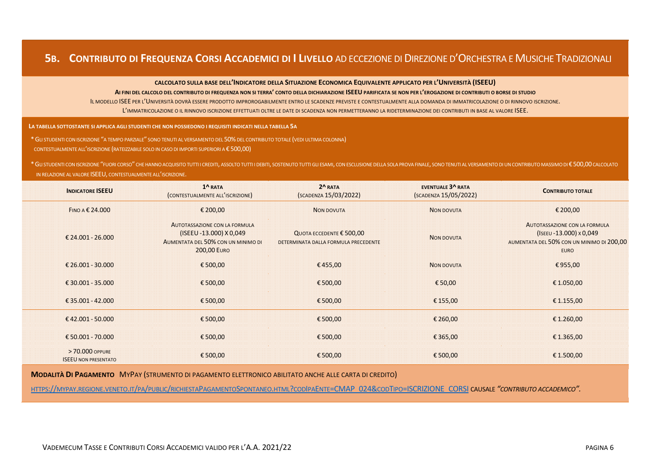## **5B. CONTRIBUTO DI FREQUENZA CORSI ACCADEMICI DI I LIVELLO** AD ECCEZIONE DI DIREZIONE D'ORCHESTRA E MUSICHE TRADIZIONALI

**CALCOLATO SULLA BASE DELL'INDICATORE DELLA SITUAZIONE ECONOMICA EQUIVALENTE APPLICATO PER L'UNIVERSITÀ (ISEEU)**

**AI FINI DEL CALCOLO DEL CONTRIBUTO DI FREQUENZA NON SI TERRA' CONTO DELLA DICHIARAZIONE ISEEU PARIFICATA SE NON PER L'EROGAZIONE DI CONTRIBUTI O BORSE DI STUDIO**

IL MODELLO ISEE PER L'UNIVERSITÀ DOVRÀ ESSERE PRODOTTO IMPROROGABILMENTE ENTRO LE SCADENZE PREVISTE E CONTESTUALMENTE ALLA DOMANDA DI IMMATRICOLAZIONE O DI RINNOVO ISCRIZIONE. L'IMMATRICOLAZIONE O IL RINNOVO ISCRIZIONE EFFETTUATI OLTRE LE DATE DI SCADENZA NON PERMETTERANNO LA RIDETERMINAZIONE DEI CONTRIBUTI IN BASE AL VALORE ISEE.

**LA TABELLA SOTTOSTANTE SI APPLICA AGLI STUDENTI CHE NON POSSIEDONO I REQUISITI INDICATI NELLA TABELLA 5A**

\*GLI STUDENTI CON ISCRIZIONE "A TEMPO PARZIALE" SONO TENUTI AL VERSAMENTO DEL 50%DEL CONTRIBUTO TOTALE (VEDI ULTIMA COLONNA)

CONTESTUALMENTE ALL'ISCRIZIONE (RATEIZZABILE SOLO IN CASO DI IMPORTI SUPERIORI A € 500,00)

\* GLI STUDENTI CON ISCRIZIONE "FUORI CORSO" CHE HANNO ACQUISITO TUTTI I CREDITI, ASSOLTO TUTTI I DEBITI, SOSTENUTO TUTTI GLI ESAMI, CON ESCLUSIONE DELLA SOLA PROVA FINALE, SONO TENUTI AL VERSAMENTO DI UN CONTRIBUTO MASSIMO IN RELAZIONE AL VALORE ISEEU, CONTESTUALMENTE ALL'ISCRIZIONE.

| <b>INDICATORE ISEEU</b>                        | $1^{\Lambda}$ RATA<br>(CONTESTUALMENTE ALL'ISCRIZIONE)                                                               | $2^A$ RATA<br>(SCADENZA 15/03/2022)                                       | <b>EVENTUALE 3^ RATA</b><br>(SCADENZA 15/05/2022) | <b>CONTRIBUTO TOTALE</b>                                                                                                            |
|------------------------------------------------|----------------------------------------------------------------------------------------------------------------------|---------------------------------------------------------------------------|---------------------------------------------------|-------------------------------------------------------------------------------------------------------------------------------------|
| FINO A € 24.000                                | € 200,00                                                                                                             | <b>NON DOVUTA</b>                                                         | <b>NON DOVUTA</b>                                 | € 200,00                                                                                                                            |
| € 24.001 - 26.000                              | AUTOTASSAZIONE CON LA FORMULA<br>(ISEEU -13.000) X 0,049<br>AUMENTATA DEL 50% CON UN MINIMO DI<br><b>200,00 EURO</b> | QUOTA ECCEDENTE $\epsilon$ 500,00<br>DETERMINATA DALLA FORMULA PRECEDENTE | <b>NON DOVUTA</b>                                 | <b>AUTOTASSAZIONE CON LA FORMULA</b><br>$(ISEEU - 13.000) \times 0.049$<br>AUMENTATA DEL 50% CON UN MINIMO DI 200,00<br><b>EURO</b> |
| € 26.001 - 30.000                              | €500,00                                                                                                              | €455,00                                                                   | <b>NON DOVUTA</b>                                 | €955,00                                                                                                                             |
| €30.001 - 35.000                               | €500,00                                                                                                              | €500,00                                                                   | € 50,00                                           | €1.050,00                                                                                                                           |
| €35.001 - 42.000                               | €500,00                                                                                                              | €500,00                                                                   | € 155,00                                          | € 1.155,00                                                                                                                          |
| €42.001 - 50.000                               | €500,00                                                                                                              | €500,00                                                                   | € 260,00                                          | € 1.260,00                                                                                                                          |
| € 50.001 - 70.000                              | €500,00                                                                                                              | €500,00                                                                   | €365,00                                           | € 1.365,00                                                                                                                          |
| > 70,000 OPPURE<br><b>ISEEU NON PRESENTATO</b> | €500,00                                                                                                              | €500,00                                                                   | €500,00                                           | €1.500,00                                                                                                                           |

**MODALITÀ DI PAGAMENTO** MYPAY (STRUMENTO DI PAGAMENTO ELETTRONICO ABILITATO ANCHE ALLE CARTA DI CREDITO)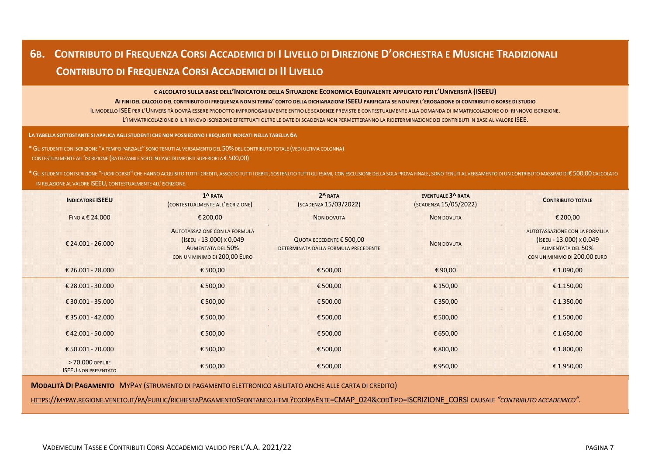## **6B. CONTRIBUTO DI FREQUENZA CORSI ACCADEMICI DI I LIVELLO DI DIREZIONE D'ORCHESTRA E MUSICHE TRADIZIONALI CONTRIBUTO DI FREQUENZA CORSI ACCADEMICI DI II LIVELLO**

**C ALCOLATO SULLA BASE DELL'INDICATORE DELLA SITUAZIONE ECONOMICA EQUIVALENTE APPLICATO PER L'UNIVERSITÀ (ISEEU)**

**AI FINI DEL CALCOLO DEL CONTRIBUTO DI FREQUENZA NON SI TERRA' CONTO DELLA DICHIARAZIONE ISEEU PARIFICATA SE NON PER L'EROGAZIONE DI CONTRIBUTI O BORSE DI STUDIO**

IL MODELLO ISEE PER L'UNIVERSITÀ DOVRÀ ESSERE PRODOTTO IMPROROGABILMENTE ENTRO LE SCADENZE PREVISTE E CONTESTUALMENTE ALLA DOMANDA DI IMMATRICOLAZIONE O DI RINNOVO ISCRIZIONE. L'IMMATRICOLAZIONE O IL RINNOVO ISCRIZIONE EFFETTUATI OLTRE LE DATE DI SCADENZA NON PERMETTERANNO LA RIDETERMINAZIONE DEI CONTRIBUTI IN BASE AL VALORE ISEE.

**LA TABELLA SOTTOSTANTE SI APPLICA AGLI STUDENTI CHE NON POSSIEDONO I REQUISITI INDICATI NELLA TABELLA 6A**

\*GLI STUDENTI CON ISCRIZIONE "A TEMPO PARZIALE" SONO TENUTI AL VERSAMENTO DEL 50%DEL CONTRIBUTO TOTALE (VEDI ULTIMA COLONNA)

CONTESTUALMENTE ALL'ISCRIZIONE (RATEIZZABILE SOLO IN CASO DI IMPORTI SUPERIORI A € 500,00)

\* GU STUDENTI CON ISCRIZIONE "FUORI CORSO" CHE HANNO ACQUISITO TUTTI I CREDITI. ASSOLTO TUTTI I DEBITI. SOSTENUTO TUTTI GU ESAMI. CON ESCLUSIONE DELLA SOLA PROVA FINALE. SONO TENUTI AL VERSAMENTO DI UN CONTRIBUTO MASSIMO IN RELAZIONE AL VALORE ISEEU, CONTESTUALMENTE ALL'ISCRIZIONE.

| <b>INDICATORE ISEEU</b>                        | 1^RATA<br>(CONTESTUALMENTE ALL'ISCRIZIONE)                                                                                          | $2^A$ RATA<br>(SCADENZA 15/03/2022)                                       | <b>EVENTUALE 3^ RATA</b><br>(SCADENZA 15/05/2022) | <b>CONTRIBUTO TOTALE</b>                                                                                              |
|------------------------------------------------|-------------------------------------------------------------------------------------------------------------------------------------|---------------------------------------------------------------------------|---------------------------------------------------|-----------------------------------------------------------------------------------------------------------------------|
| FINO A $\epsilon$ 24,000                       | € 200,00                                                                                                                            | NON DOVUTA                                                                | <b>NON DOVUTA</b>                                 | € 200,00                                                                                                              |
| € 24.001 - 26.000                              | <b>AUTOTASSAZIONE CON LA FORMULA</b><br>$(ISEEU - 13.000) \times 0.049$<br><b>AUMENTATA DEL 50%</b><br>CON UN MINIMO DI 200,00 EURO | QUOTA ECCEDENTE $\epsilon$ 500,00<br>DETERMINATA DALLA FORMULA PRECEDENTE | <b>NON DOVUTA</b>                                 | AUTOTASSAZIONE CON LA FORMULA<br>$(ISEEU - 13.000) \times 0.049$<br>AUMENTATA DEL 50%<br>CON UN MINIMO DI 200,00 EURO |
| € 26.001 - 28.000                              | €500,00                                                                                                                             | €500,00                                                                   | €90,00                                            | €1.090,00                                                                                                             |
| € 28.001 - 30.000                              | €500,00                                                                                                                             | €500,00                                                                   | €150,00                                           | €1.150,00                                                                                                             |
| € 30.001 - 35.000                              | € 500,00                                                                                                                            | €500,00                                                                   | €350,00                                           | € 1.350,00                                                                                                            |
| €35.001 - 42.000                               | €500,00                                                                                                                             | €500,00                                                                   | €500,00                                           | €1.500,00                                                                                                             |
| €42.001 - 50.000                               | €500,00                                                                                                                             | €500,00                                                                   | € 650,00                                          | € 1.650,00                                                                                                            |
| € 50.001 - 70.000                              | € 500,00                                                                                                                            | €500,00                                                                   | €800,00                                           | €1.800,00                                                                                                             |
| > 70,000 OPPURE<br><b>ISEEU NON PRESENTATO</b> | €500,00                                                                                                                             | €500,00                                                                   | €950,00                                           | €1.950,00                                                                                                             |

**MODALITÀ DI PAGAMENTO** MYPAY (STRUMENTO DI PAGAMENTO ELETTRONICO ABILITATO ANCHE ALLE CARTA DI CREDITO)